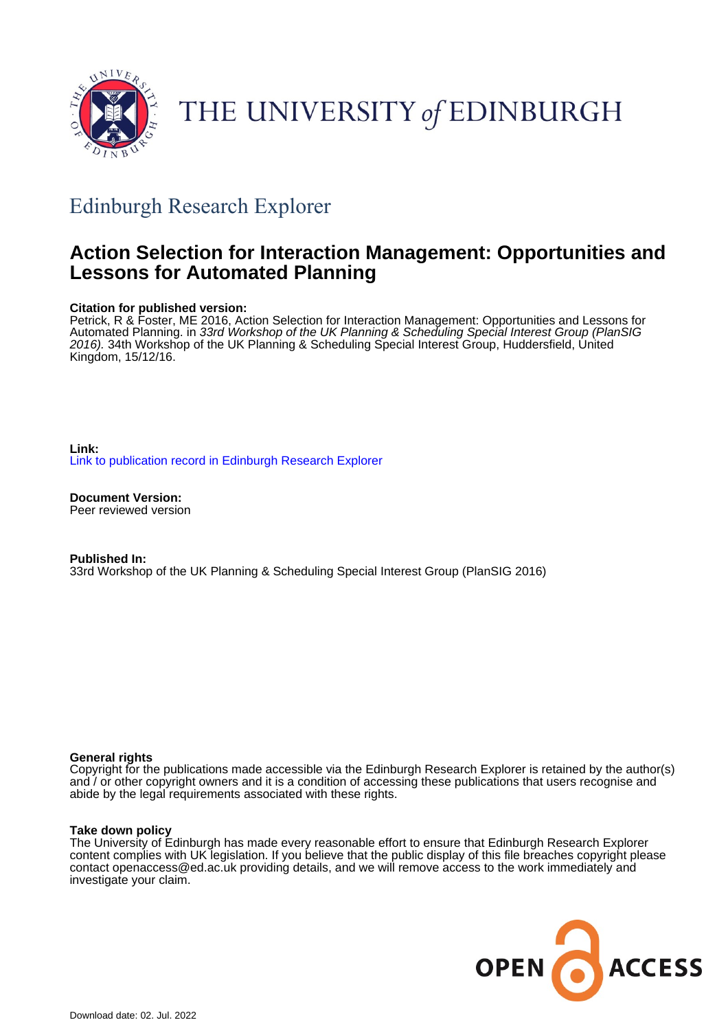

# THE UNIVERSITY of EDINBURGH

# Edinburgh Research Explorer

# **Action Selection for Interaction Management: Opportunities and Lessons for Automated Planning**

# **Citation for published version:**

Petrick, R & Foster, ME 2016, Action Selection for Interaction Management: Opportunities and Lessons for Automated Planning. in 33rd Workshop of the UK Planning & Scheduling Special Interest Group (PlanSIG 2016). 34th Workshop of the UK Planning & Scheduling Special Interest Group, Huddersfield, United Kingdom, 15/12/16.

**Link:** [Link to publication record in Edinburgh Research Explorer](https://www.research.ed.ac.uk/en/publications/52718c77-eff9-4218-9af6-70227aac8c3a)

**Document Version:** Peer reviewed version

**Published In:** 33rd Workshop of the UK Planning & Scheduling Special Interest Group (PlanSIG 2016)

### **General rights**

Copyright for the publications made accessible via the Edinburgh Research Explorer is retained by the author(s) and / or other copyright owners and it is a condition of accessing these publications that users recognise and abide by the legal requirements associated with these rights.

#### **Take down policy**

The University of Edinburgh has made every reasonable effort to ensure that Edinburgh Research Explorer content complies with UK legislation. If you believe that the public display of this file breaches copyright please contact openaccess@ed.ac.uk providing details, and we will remove access to the work immediately and investigate your claim.

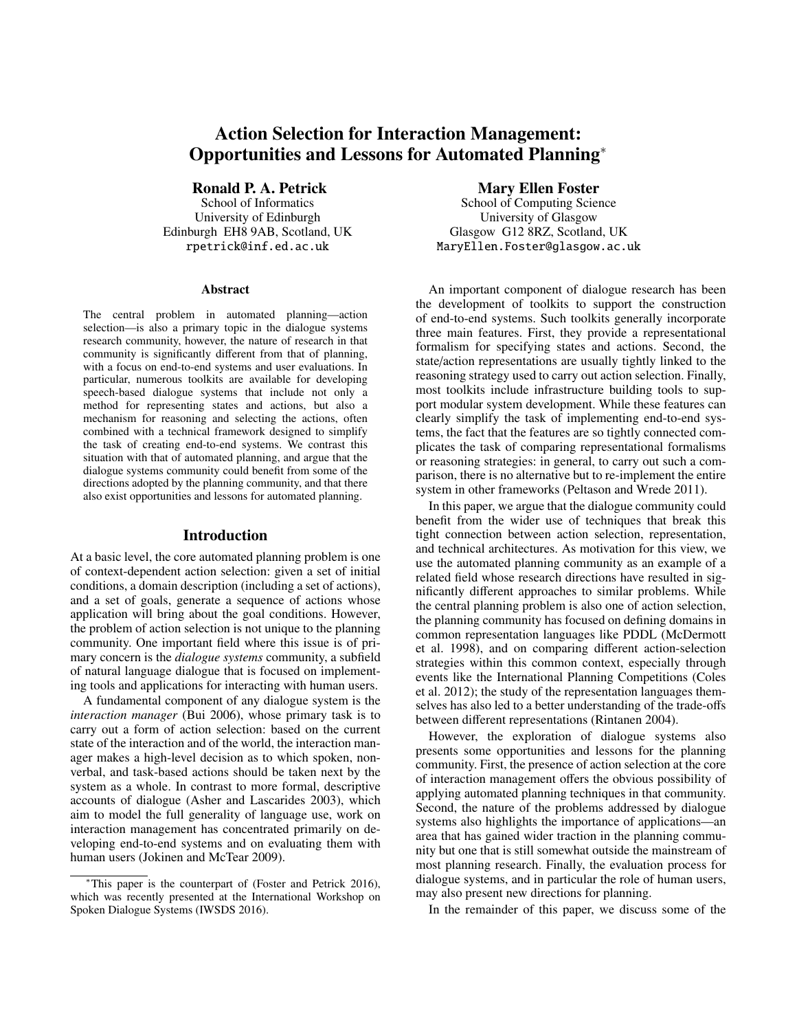# Action Selection for Interaction Management: Opportunities and Lessons for Automated Planning<sup>∗</sup>

Ronald P. A. Petrick

School of Informatics University of Edinburgh Edinburgh EH8 9AB, Scotland, UK rpetrick@inf.ed.ac.uk

#### Abstract

The central problem in automated planning—action selection—is also a primary topic in the dialogue systems research community, however, the nature of research in that community is significantly different from that of planning, with a focus on end-to-end systems and user evaluations. In particular, numerous toolkits are available for developing speech-based dialogue systems that include not only a method for representing states and actions, but also a mechanism for reasoning and selecting the actions, often combined with a technical framework designed to simplify the task of creating end-to-end systems. We contrast this situation with that of automated planning, and argue that the dialogue systems community could benefit from some of the directions adopted by the planning community, and that there also exist opportunities and lessons for automated planning.

#### Introduction

At a basic level, the core automated planning problem is one of context-dependent action selection: given a set of initial conditions, a domain description (including a set of actions), and a set of goals, generate a sequence of actions whose application will bring about the goal conditions. However, the problem of action selection is not unique to the planning community. One important field where this issue is of primary concern is the *dialogue systems* community, a subfield of natural language dialogue that is focused on implementing tools and applications for interacting with human users.

A fundamental component of any dialogue system is the *interaction manager* (Bui 2006), whose primary task is to carry out a form of action selection: based on the current state of the interaction and of the world, the interaction manager makes a high-level decision as to which spoken, nonverbal, and task-based actions should be taken next by the system as a whole. In contrast to more formal, descriptive accounts of dialogue (Asher and Lascarides 2003), which aim to model the full generality of language use, work on interaction management has concentrated primarily on developing end-to-end systems and on evaluating them with human users (Jokinen and McTear 2009).

#### Mary Ellen Foster

School of Computing Science University of Glasgow Glasgow G12 8RZ, Scotland, UK MaryEllen.Foster@glasgow.ac.uk

An important component of dialogue research has been the development of toolkits to support the construction of end-to-end systems. Such toolkits generally incorporate three main features. First, they provide a representational formalism for specifying states and actions. Second, the state/action representations are usually tightly linked to the reasoning strategy used to carry out action selection. Finally, most toolkits include infrastructure building tools to support modular system development. While these features can clearly simplify the task of implementing end-to-end systems, the fact that the features are so tightly connected complicates the task of comparing representational formalisms or reasoning strategies: in general, to carry out such a comparison, there is no alternative but to re-implement the entire system in other frameworks (Peltason and Wrede 2011).

In this paper, we argue that the dialogue community could benefit from the wider use of techniques that break this tight connection between action selection, representation, and technical architectures. As motivation for this view, we use the automated planning community as an example of a related field whose research directions have resulted in significantly different approaches to similar problems. While the central planning problem is also one of action selection, the planning community has focused on defining domains in common representation languages like PDDL (McDermott et al. 1998), and on comparing different action-selection strategies within this common context, especially through events like the International Planning Competitions (Coles et al. 2012); the study of the representation languages themselves has also led to a better understanding of the trade-offs between different representations (Rintanen 2004).

However, the exploration of dialogue systems also presents some opportunities and lessons for the planning community. First, the presence of action selection at the core of interaction management offers the obvious possibility of applying automated planning techniques in that community. Second, the nature of the problems addressed by dialogue systems also highlights the importance of applications—an area that has gained wider traction in the planning community but one that is still somewhat outside the mainstream of most planning research. Finally, the evaluation process for dialogue systems, and in particular the role of human users, may also present new directions for planning.

In the remainder of this paper, we discuss some of the

<sup>∗</sup>This paper is the counterpart of (Foster and Petrick 2016), which was recently presented at the International Workshop on Spoken Dialogue Systems (IWSDS 2016).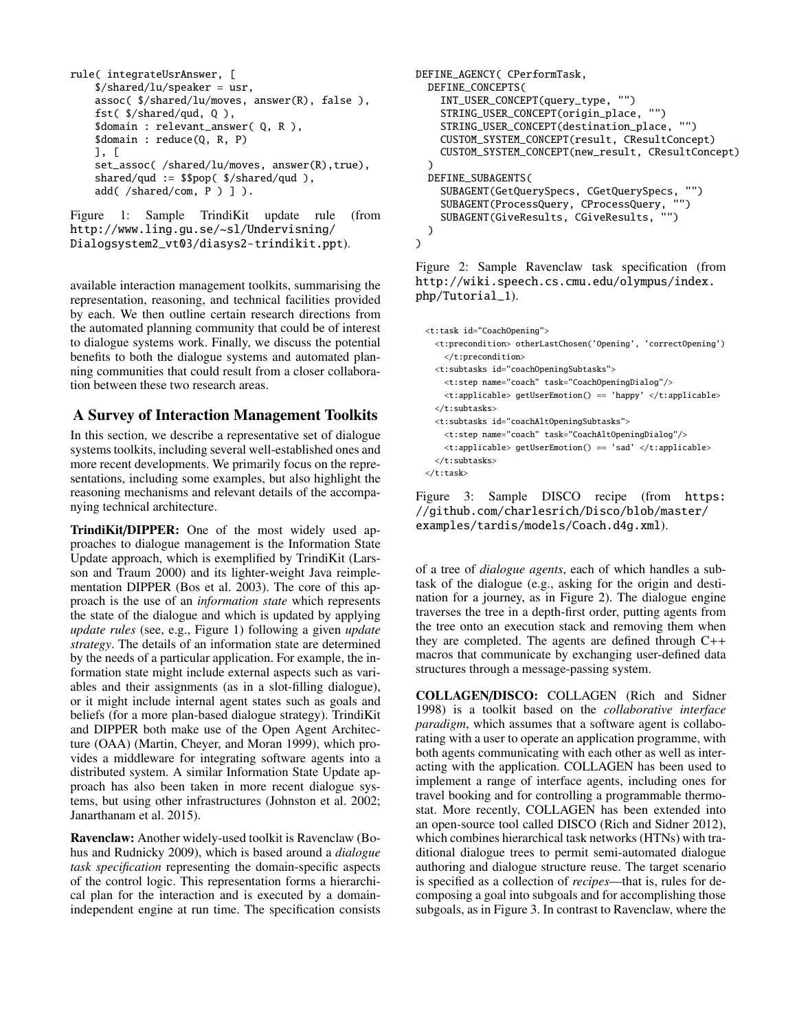```
rule( integrateUsrAnswer, [
    $/shared/lu/speaker = usr,
    assoc( $/shared/lu/moves, answer(R), false ),
    fst( $/shared/qud, Q ),
    $domain : relevant_answer( Q, R ),
    $domain : reduce(Q, R, P)
    ], [
    set_assoc( /shared/lu/moves, answer(R), true),
    shared/qud := $$pop( $/shared/qud ),
    add( /shared/com, P ) ] ).
```
Figure 1: Sample TrindiKit update rule (from http://www.ling.gu.se/~sl/Undervisning/ Dialogsystem2\_vt03/diasys2-trindikit.ppt).

available interaction management toolkits, summarising the representation, reasoning, and technical facilities provided by each. We then outline certain research directions from the automated planning community that could be of interest to dialogue systems work. Finally, we discuss the potential benefits to both the dialogue systems and automated planning communities that could result from a closer collaboration between these two research areas.

# A Survey of Interaction Management Toolkits

In this section, we describe a representative set of dialogue systems toolkits, including several well-established ones and more recent developments. We primarily focus on the representations, including some examples, but also highlight the reasoning mechanisms and relevant details of the accompanying technical architecture.

TrindiKit/DIPPER: One of the most widely used approaches to dialogue management is the Information State Update approach, which is exemplified by TrindiKit (Larsson and Traum 2000) and its lighter-weight Java reimplementation DIPPER (Bos et al. 2003). The core of this approach is the use of an *information state* which represents the state of the dialogue and which is updated by applying *update rules* (see, e.g., Figure 1) following a given *update strategy*. The details of an information state are determined by the needs of a particular application. For example, the information state might include external aspects such as variables and their assignments (as in a slot-filling dialogue), or it might include internal agent states such as goals and beliefs (for a more plan-based dialogue strategy). TrindiKit and DIPPER both make use of the Open Agent Architecture (OAA) (Martin, Cheyer, and Moran 1999), which provides a middleware for integrating software agents into a distributed system. A similar Information State Update approach has also been taken in more recent dialogue systems, but using other infrastructures (Johnston et al. 2002; Janarthanam et al. 2015).

Ravenclaw: Another widely-used toolkit is Ravenclaw (Bohus and Rudnicky 2009), which is based around a *dialogue task specification* representing the domain-specific aspects of the control logic. This representation forms a hierarchical plan for the interaction and is executed by a domainindependent engine at run time. The specification consists

```
DEFINE_AGENCY( CPerformTask,
  DEFINE_CONCEPTS(
    INT_USER_CONCEPT(query_type, "")
    STRING_USER_CONCEPT(origin_place, "")
    STRING_USER_CONCEPT(destination_place, "")
    CUSTOM_SYSTEM_CONCEPT(result, CResultConcept)
    CUSTOM_SYSTEM_CONCEPT(new_result, CResultConcept)
  )
  DEFINE_SUBAGENTS(
    SUBAGENT(GetQuerySpecs, CGetQuerySpecs, "")
    SUBAGENT(ProcessQuery, CProcessQuery, "")
    SUBAGENT(GiveResults, CGiveResults,
  )
\lambda
```
Figure 2: Sample Ravenclaw task specification (from http://wiki.speech.cs.cmu.edu/olympus/index. php/Tutorial\_1).

```
<t:task id="CoachOpening">
  <t:precondition> otherLastChosen('Opening', 'correctOpening')
    </t:precondition>
  <t:subtasks id="coachOpeningSubtasks">
   <t:step name="coach" task="CoachOpeningDialog"/>
    <t:applicable> getUserEmotion() == 'happy' </t:applicable>
  </t:subtasks>
  <t:subtasks id="coachAltOpeningSubtasks">
    <t:step name="coach" task="CoachAltOpeningDialog"/>
    \langle t:applicable\rangle getUserEmotion() == 'sad' \langle /t:applicable\rangle</t:subtasks>
\langlet:task>
```
Figure 3: Sample DISCO recipe (from https: //github.com/charlesrich/Disco/blob/master/ examples/tardis/models/Coach.d4g.xml).

of a tree of *dialogue agents*, each of which handles a subtask of the dialogue (e.g., asking for the origin and destination for a journey, as in Figure 2). The dialogue engine traverses the tree in a depth-first order, putting agents from the tree onto an execution stack and removing them when they are completed. The agents are defined through C++ macros that communicate by exchanging user-defined data structures through a message-passing system.

COLLAGEN/DISCO: COLLAGEN (Rich and Sidner 1998) is a toolkit based on the *collaborative interface paradigm*, which assumes that a software agent is collaborating with a user to operate an application programme, with both agents communicating with each other as well as interacting with the application. COLLAGEN has been used to implement a range of interface agents, including ones for travel booking and for controlling a programmable thermostat. More recently, COLLAGEN has been extended into an open-source tool called DISCO (Rich and Sidner 2012), which combines hierarchical task networks (HTNs) with traditional dialogue trees to permit semi-automated dialogue authoring and dialogue structure reuse. The target scenario is specified as a collection of *recipes*—that is, rules for decomposing a goal into subgoals and for accomplishing those subgoals, as in Figure 3. In contrast to Ravenclaw, where the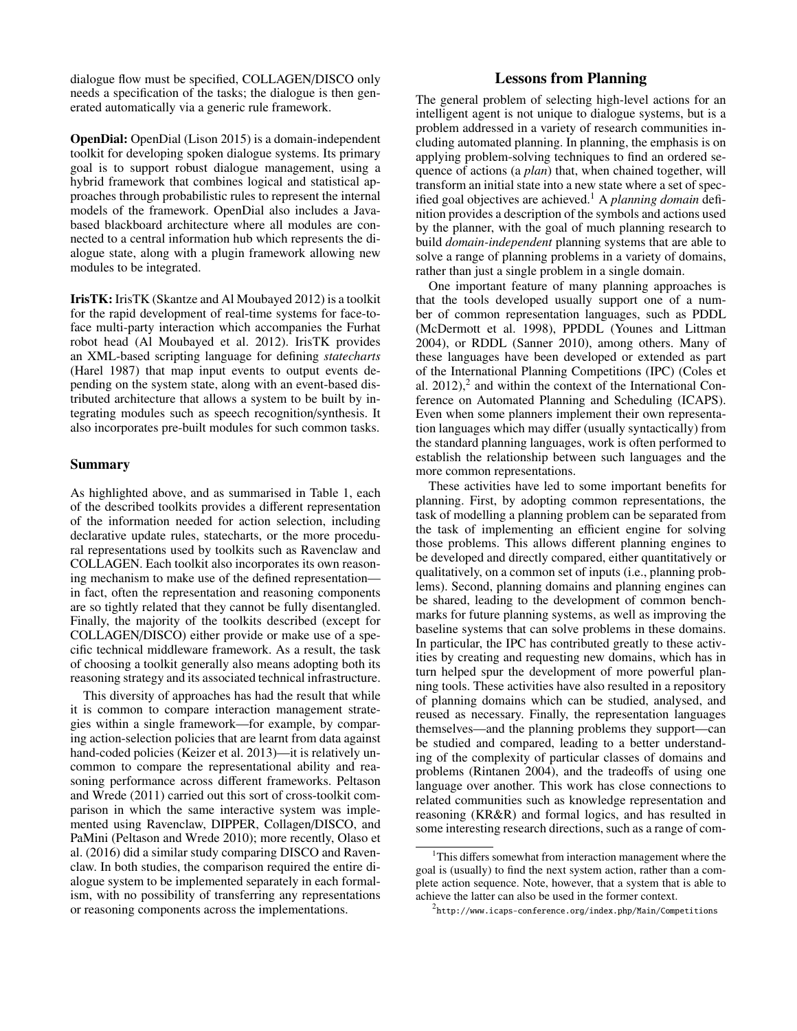dialogue flow must be specified, COLLAGEN/DISCO only needs a specification of the tasks; the dialogue is then generated automatically via a generic rule framework.

OpenDial: OpenDial (Lison 2015) is a domain-independent toolkit for developing spoken dialogue systems. Its primary goal is to support robust dialogue management, using a hybrid framework that combines logical and statistical approaches through probabilistic rules to represent the internal models of the framework. OpenDial also includes a Javabased blackboard architecture where all modules are connected to a central information hub which represents the dialogue state, along with a plugin framework allowing new modules to be integrated.

IrisTK: IrisTK (Skantze and Al Moubayed 2012) is a toolkit for the rapid development of real-time systems for face-toface multi-party interaction which accompanies the Furhat robot head (Al Moubayed et al. 2012). IrisTK provides an XML-based scripting language for defining *statecharts* (Harel 1987) that map input events to output events depending on the system state, along with an event-based distributed architecture that allows a system to be built by integrating modules such as speech recognition/synthesis. It also incorporates pre-built modules for such common tasks.

#### Summary

As highlighted above, and as summarised in Table 1, each of the described toolkits provides a different representation of the information needed for action selection, including declarative update rules, statecharts, or the more procedural representations used by toolkits such as Ravenclaw and COLLAGEN. Each toolkit also incorporates its own reasoning mechanism to make use of the defined representation in fact, often the representation and reasoning components are so tightly related that they cannot be fully disentangled. Finally, the majority of the toolkits described (except for COLLAGEN/DISCO) either provide or make use of a specific technical middleware framework. As a result, the task of choosing a toolkit generally also means adopting both its reasoning strategy and its associated technical infrastructure.

This diversity of approaches has had the result that while it is common to compare interaction management strategies within a single framework—for example, by comparing action-selection policies that are learnt from data against hand-coded policies (Keizer et al. 2013)—it is relatively uncommon to compare the representational ability and reasoning performance across different frameworks. Peltason and Wrede (2011) carried out this sort of cross-toolkit comparison in which the same interactive system was implemented using Ravenclaw, DIPPER, Collagen/DISCO, and PaMini (Peltason and Wrede 2010); more recently, Olaso et al. (2016) did a similar study comparing DISCO and Ravenclaw. In both studies, the comparison required the entire dialogue system to be implemented separately in each formalism, with no possibility of transferring any representations or reasoning components across the implementations.

## Lessons from Planning

The general problem of selecting high-level actions for an intelligent agent is not unique to dialogue systems, but is a problem addressed in a variety of research communities including automated planning. In planning, the emphasis is on applying problem-solving techniques to find an ordered sequence of actions (a *plan*) that, when chained together, will transform an initial state into a new state where a set of specified goal objectives are achieved.<sup>1</sup> A *planning domain* definition provides a description of the symbols and actions used by the planner, with the goal of much planning research to build *domain-independent* planning systems that are able to solve a range of planning problems in a variety of domains, rather than just a single problem in a single domain.

One important feature of many planning approaches is that the tools developed usually support one of a number of common representation languages, such as PDDL (McDermott et al. 1998), PPDDL (Younes and Littman 2004), or RDDL (Sanner 2010), among others. Many of these languages have been developed or extended as part of the International Planning Competitions (IPC) (Coles et al.  $2012$ ), $^2$  and within the context of the International Conference on Automated Planning and Scheduling (ICAPS). Even when some planners implement their own representation languages which may differ (usually syntactically) from the standard planning languages, work is often performed to establish the relationship between such languages and the more common representations.

These activities have led to some important benefits for planning. First, by adopting common representations, the task of modelling a planning problem can be separated from the task of implementing an efficient engine for solving those problems. This allows different planning engines to be developed and directly compared, either quantitatively or qualitatively, on a common set of inputs (i.e., planning problems). Second, planning domains and planning engines can be shared, leading to the development of common benchmarks for future planning systems, as well as improving the baseline systems that can solve problems in these domains. In particular, the IPC has contributed greatly to these activities by creating and requesting new domains, which has in turn helped spur the development of more powerful planning tools. These activities have also resulted in a repository of planning domains which can be studied, analysed, and reused as necessary. Finally, the representation languages themselves—and the planning problems they support—can be studied and compared, leading to a better understanding of the complexity of particular classes of domains and problems (Rintanen 2004), and the tradeoffs of using one language over another. This work has close connections to related communities such as knowledge representation and reasoning (KR&R) and formal logics, and has resulted in some interesting research directions, such as a range of com-

 $1$ This differs somewhat from interaction management where the goal is (usually) to find the next system action, rather than a complete action sequence. Note, however, that a system that is able to achieve the latter can also be used in the former context.

 $^2$ http://www.icaps-conference.org/index.php/Main/Competitions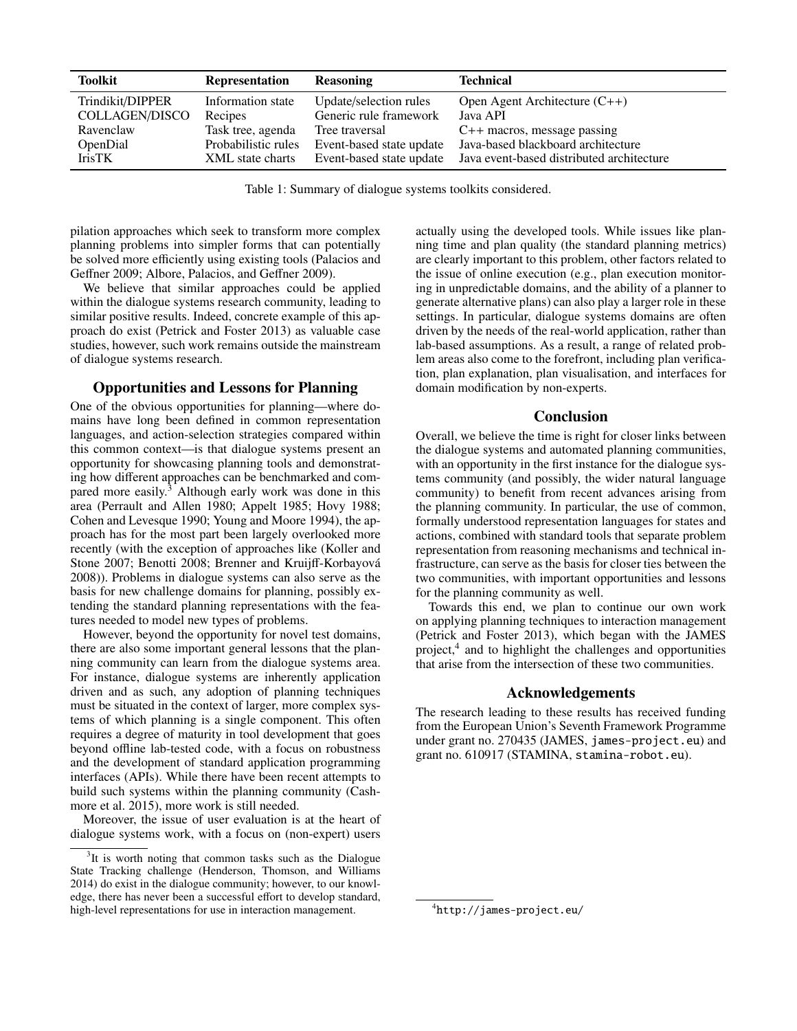| Toolkit          | <b>Representation</b> | <b>Reasoning</b>         | <b>Technical</b>                          |
|------------------|-----------------------|--------------------------|-------------------------------------------|
| Trindikit/DIPPER | Information state     | Update/selection rules   | Open Agent Architecture $(C++)$           |
| COLLAGEN/DISCO   | Recipes               | Generic rule framework   | Java API                                  |
| Ravenclaw        | Task tree, agenda     | Tree traversal           | $C++$ macros, message passing             |
| <b>OpenDial</b>  | Probabilistic rules   | Event-based state update | Java-based blackboard architecture        |
| <b>IrisTK</b>    | XML state charts      | Event-based state update | Java event-based distributed architecture |

Table 1: Summary of dialogue systems toolkits considered.

pilation approaches which seek to transform more complex planning problems into simpler forms that can potentially be solved more efficiently using existing tools (Palacios and Geffner 2009; Albore, Palacios, and Geffner 2009).

We believe that similar approaches could be applied within the dialogue systems research community, leading to similar positive results. Indeed, concrete example of this approach do exist (Petrick and Foster 2013) as valuable case studies, however, such work remains outside the mainstream of dialogue systems research.

#### Opportunities and Lessons for Planning

One of the obvious opportunities for planning—where domains have long been defined in common representation languages, and action-selection strategies compared within this common context—is that dialogue systems present an opportunity for showcasing planning tools and demonstrating how different approaches can be benchmarked and compared more easily.<sup>3</sup> Although early work was done in this area (Perrault and Allen 1980; Appelt 1985; Hovy 1988; Cohen and Levesque 1990; Young and Moore 1994), the approach has for the most part been largely overlooked more recently (with the exception of approaches like (Koller and Stone 2007; Benotti 2008; Brenner and Kruijff-Korbayová 2008)). Problems in dialogue systems can also serve as the basis for new challenge domains for planning, possibly extending the standard planning representations with the features needed to model new types of problems.

However, beyond the opportunity for novel test domains, there are also some important general lessons that the planning community can learn from the dialogue systems area. For instance, dialogue systems are inherently application driven and as such, any adoption of planning techniques must be situated in the context of larger, more complex systems of which planning is a single component. This often requires a degree of maturity in tool development that goes beyond offline lab-tested code, with a focus on robustness and the development of standard application programming interfaces (APIs). While there have been recent attempts to build such systems within the planning community (Cashmore et al. 2015), more work is still needed.

Moreover, the issue of user evaluation is at the heart of dialogue systems work, with a focus on (non-expert) users

actually using the developed tools. While issues like planning time and plan quality (the standard planning metrics) are clearly important to this problem, other factors related to the issue of online execution (e.g., plan execution monitoring in unpredictable domains, and the ability of a planner to generate alternative plans) can also play a larger role in these settings. In particular, dialogue systems domains are often driven by the needs of the real-world application, rather than lab-based assumptions. As a result, a range of related problem areas also come to the forefront, including plan verification, plan explanation, plan visualisation, and interfaces for domain modification by non-experts.

#### Conclusion

Overall, we believe the time is right for closer links between the dialogue systems and automated planning communities, with an opportunity in the first instance for the dialogue systems community (and possibly, the wider natural language community) to benefit from recent advances arising from the planning community. In particular, the use of common, formally understood representation languages for states and actions, combined with standard tools that separate problem representation from reasoning mechanisms and technical infrastructure, can serve as the basis for closer ties between the two communities, with important opportunities and lessons for the planning community as well.

Towards this end, we plan to continue our own work on applying planning techniques to interaction management (Petrick and Foster 2013), which began with the JAMES project,<sup>4</sup> and to highlight the challenges and opportunities that arise from the intersection of these two communities.

#### Acknowledgements

The research leading to these results has received funding from the European Union's Seventh Framework Programme under grant no. 270435 (JAMES, james-project.eu) and grant no. 610917 (STAMINA, stamina-robot.eu).

<sup>&</sup>lt;sup>3</sup>It is worth noting that common tasks such as the Dialogue State Tracking challenge (Henderson, Thomson, and Williams 2014) do exist in the dialogue community; however, to our knowledge, there has never been a successful effort to develop standard, high-level representations for use in interaction management.

<sup>4</sup> http://james-project.eu/